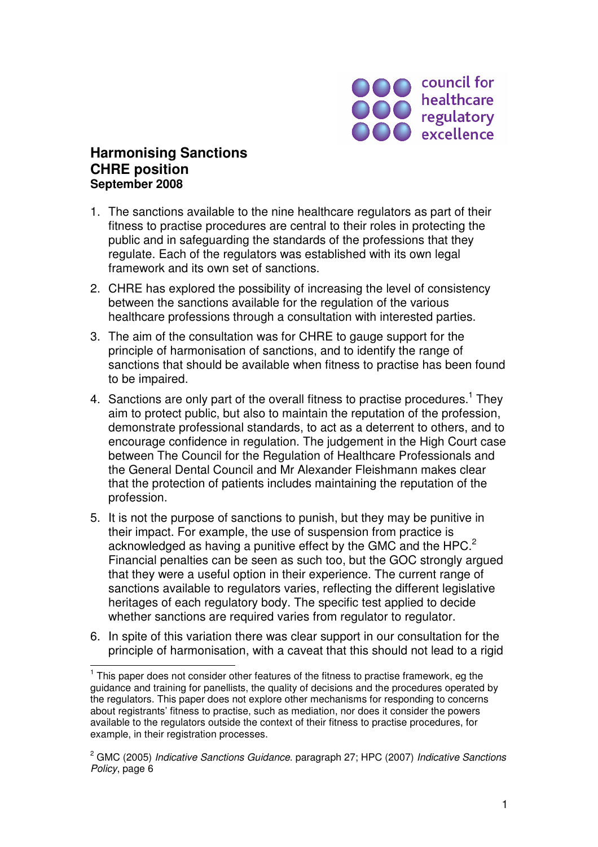

## **Harmonising Sanctions CHRE position September 2008**

 $\overline{a}$ 

- 1. The sanctions available to the nine healthcare regulators as part of their fitness to practise procedures are central to their roles in protecting the public and in safeguarding the standards of the professions that they regulate. Each of the regulators was established with its own legal framework and its own set of sanctions.
- 2. CHRE has explored the possibility of increasing the level of consistency between the sanctions available for the regulation of the various healthcare professions through a consultation with interested parties.
- 3. The aim of the consultation was for CHRE to gauge support for the principle of harmonisation of sanctions, and to identify the range of sanctions that should be available when fitness to practise has been found to be impaired.
- 4. Sanctions are only part of the overall fitness to practise procedures.<sup>1</sup> They aim to protect public, but also to maintain the reputation of the profession, demonstrate professional standards, to act as a deterrent to others, and to encourage confidence in regulation. The judgement in the High Court case between The Council for the Regulation of Healthcare Professionals and the General Dental Council and Mr Alexander Fleishmann makes clear that the protection of patients includes maintaining the reputation of the profession.
- 5. It is not the purpose of sanctions to punish, but they may be punitive in their impact. For example, the use of suspension from practice is acknowledged as having a punitive effect by the GMC and the HPC.<sup>2</sup> Financial penalties can be seen as such too, but the GOC strongly argued that they were a useful option in their experience. The current range of sanctions available to regulators varies, reflecting the different legislative heritages of each regulatory body. The specific test applied to decide whether sanctions are required varies from regulator to regulator.
- 6. In spite of this variation there was clear support in our consultation for the principle of harmonisation, with a caveat that this should not lead to a rigid

<sup>&</sup>lt;sup>1</sup> This paper does not consider other features of the fitness to practise framework, eg the guidance and training for panellists, the quality of decisions and the procedures operated by the regulators. This paper does not explore other mechanisms for responding to concerns about registrants' fitness to practise, such as mediation, nor does it consider the powers available to the regulators outside the context of their fitness to practise procedures, for example, in their registration processes.

<sup>&</sup>lt;sup>2</sup> GMC (2005) Indicative Sanctions Guidance. paragraph 27; HPC (2007) Indicative Sanctions Policy, page 6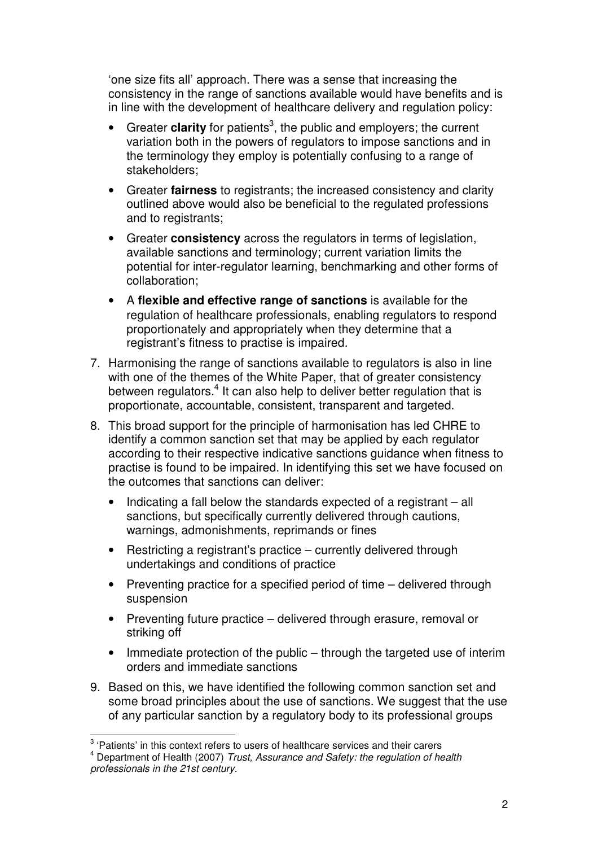'one size fits all' approach. There was a sense that increasing the consistency in the range of sanctions available would have benefits and is in line with the development of healthcare delivery and regulation policy:

- Greater **clarity** for patients<sup>3</sup>, the public and employers; the current variation both in the powers of regulators to impose sanctions and in the terminology they employ is potentially confusing to a range of stakeholders;
- Greater **fairness** to registrants; the increased consistency and clarity outlined above would also be beneficial to the regulated professions and to registrants;
- Greater **consistency** across the regulators in terms of legislation, available sanctions and terminology; current variation limits the potential for inter-regulator learning, benchmarking and other forms of collaboration;
- A **flexible and effective range of sanctions** is available for the regulation of healthcare professionals, enabling regulators to respond proportionately and appropriately when they determine that a registrant's fitness to practise is impaired.
- 7. Harmonising the range of sanctions available to regulators is also in line with one of the themes of the White Paper, that of greater consistency between regulators.<sup>4</sup> It can also help to deliver better regulation that is proportionate, accountable, consistent, transparent and targeted.
- 8. This broad support for the principle of harmonisation has led CHRE to identify a common sanction set that may be applied by each regulator according to their respective indicative sanctions guidance when fitness to practise is found to be impaired. In identifying this set we have focused on the outcomes that sanctions can deliver:
	- Indicating a fall below the standards expected of a registrant all sanctions, but specifically currently delivered through cautions, warnings, admonishments, reprimands or fines
	- Restricting a registrant's practice currently delivered through undertakings and conditions of practice
	- Preventing practice for a specified period of time delivered through suspension
	- Preventing future practice delivered through erasure, removal or striking off
	- Immediate protection of the public through the targeted use of interim orders and immediate sanctions
- 9. Based on this, we have identified the following common sanction set and some broad principles about the use of sanctions. We suggest that the use of any particular sanction by a regulatory body to its professional groups

<sup>&</sup>lt;sup>3</sup><br><sup>3</sup> 'Patients' in this context refers to users of healthcare services and their carers

 $<sup>4</sup>$  Department of Health (2007) Trust, Assurance and Safety: the regulation of health</sup> professionals in the 21st century.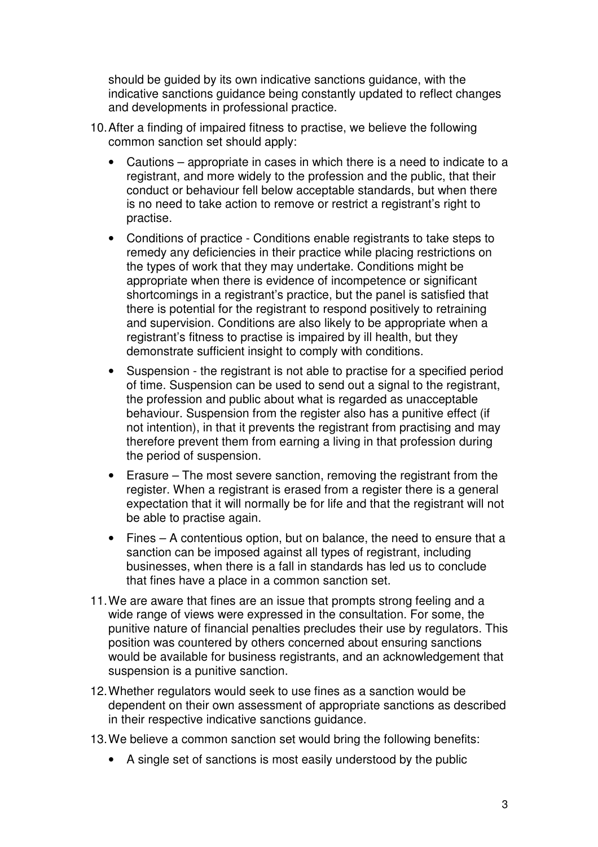should be guided by its own indicative sanctions guidance, with the indicative sanctions guidance being constantly updated to reflect changes and developments in professional practice.

- 10. After a finding of impaired fitness to practise, we believe the following common sanction set should apply:
	- Cautions appropriate in cases in which there is a need to indicate to a registrant, and more widely to the profession and the public, that their conduct or behaviour fell below acceptable standards, but when there is no need to take action to remove or restrict a registrant's right to practise.
	- Conditions of practice Conditions enable registrants to take steps to remedy any deficiencies in their practice while placing restrictions on the types of work that they may undertake. Conditions might be appropriate when there is evidence of incompetence or significant shortcomings in a registrant's practice, but the panel is satisfied that there is potential for the registrant to respond positively to retraining and supervision. Conditions are also likely to be appropriate when a registrant's fitness to practise is impaired by ill health, but they demonstrate sufficient insight to comply with conditions.
	- Suspension the registrant is not able to practise for a specified period of time. Suspension can be used to send out a signal to the registrant, the profession and public about what is regarded as unacceptable behaviour. Suspension from the register also has a punitive effect (if not intention), in that it prevents the registrant from practising and may therefore prevent them from earning a living in that profession during the period of suspension.
	- Erasure The most severe sanction, removing the registrant from the register. When a registrant is erased from a register there is a general expectation that it will normally be for life and that the registrant will not be able to practise again.
	- Fines A contentious option, but on balance, the need to ensure that a sanction can be imposed against all types of registrant, including businesses, when there is a fall in standards has led us to conclude that fines have a place in a common sanction set.
- 11. We are aware that fines are an issue that prompts strong feeling and a wide range of views were expressed in the consultation. For some, the punitive nature of financial penalties precludes their use by regulators. This position was countered by others concerned about ensuring sanctions would be available for business registrants, and an acknowledgement that suspension is a punitive sanction.
- 12. Whether regulators would seek to use fines as a sanction would be dependent on their own assessment of appropriate sanctions as described in their respective indicative sanctions guidance.
- 13. We believe a common sanction set would bring the following benefits:
	- A single set of sanctions is most easily understood by the public